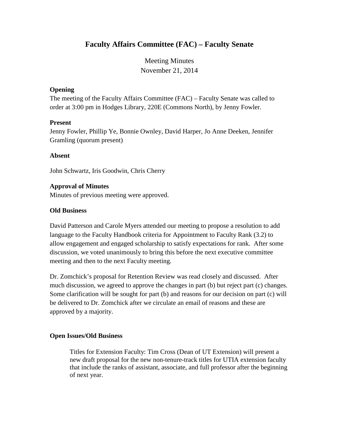# **Faculty Affairs Committee (FAC) – Faculty Senate**

Meeting Minutes November 21, 2014

### **Opening**

The meeting of the Faculty Affairs Committee (FAC) – Faculty Senate was called to order at 3:00 pm in Hodges Library, 220E (Commons North), by Jenny Fowler.

### **Present**

Jenny Fowler, Phillip Ye, Bonnie Ownley, David Harper, Jo Anne Deeken, Jennifer Gramling (quorum present)

### **Absent**

John Schwartz, Iris Goodwin, Chris Cherry

### **Approval of Minutes**

Minutes of previous meeting were approved.

### **Old Business**

David Patterson and Carole Myers attended our meeting to propose a resolution to add language to the Faculty Handbook criteria for Appointment to Faculty Rank (3.2) to allow engagement and engaged scholarship to satisfy expectations for rank. After some discussion, we voted unanimously to bring this before the next executive committee meeting and then to the next Faculty meeting.

Dr. Zomchick's proposal for Retention Review was read closely and discussed. After much discussion, we agreed to approve the changes in part (b) but reject part (c) changes. Some clarification will be sought for part (b) and reasons for our decision on part (c) will be delivered to Dr. Zomchick after we circulate an email of reasons and these are approved by a majority.

#### **Open Issues/Old Business**

Titles for Extension Faculty: Tim Cross (Dean of UT Extension) will present a new draft proposal for the new non-tenure-track titles for UTIA extension faculty that include the ranks of assistant, associate, and full professor after the beginning of next year.